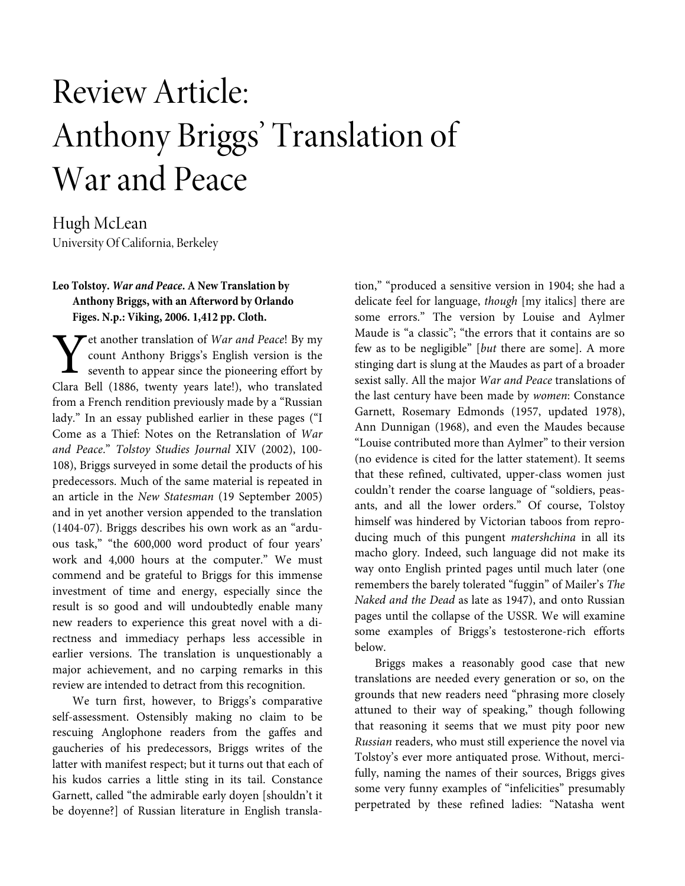# Review Article: Anthony Briggs' Translation of War and Peace

Hugh McLean University Of California, Berkeley

## **Leo Tolstoy. War and Peace. A New Translation by Anthony Briggs, with an Afterword by Orlando Figes. N.p.: Viking, 2006. 1,412 pp. Cloth.**

 $\tau$  et another translation of War and Peace! By my count Anthony Briggs's English version is the seventh to appear since the pioneering effort by Yet another translation of War and Peace! By my<br>count Anthony Briggs's English version is the<br>seventh to appear since the pioneering effort by<br>Clara Bell (1886, twenty years late!), who translated from a French rendition previously made by a "Russian lady." In an essay published earlier in these pages ("I Come as a Thief: Notes on the Retranslation of War and Peace." Tolstoy Studies Journal XIV (2002), 100- 108), Briggs surveyed in some detail the products of his predecessors. Much of the same material is repeated in an article in the New Statesman (19 September 2005) and in yet another version appended to the translation (1404-07). Briggs describes his own work as an "arduous task," "the 600,000 word product of four years' work and 4,000 hours at the computer." We must commend and be grateful to Briggs for this immense investment of time and energy, especially since the result is so good and will undoubtedly enable many new readers to experience this great novel with a directness and immediacy perhaps less accessible in earlier versions. The translation is unquestionably a major achievement, and no carping remarks in this review are intended to detract from this recognition.

We turn first, however, to Briggs's comparative self-assessment. Ostensibly making no claim to be rescuing Anglophone readers from the gaffes and gaucheries of his predecessors, Briggs writes of the latter with manifest respect; but it turns out that each of his kudos carries a little sting in its tail. Constance Garnett, called "the admirable early doyen [shouldn't it be doyenne?] of Russian literature in English transla-

tion," "produced a sensitive version in 1904; she had a delicate feel for language, though [my italics] there are some errors." The version by Louise and Aylmer Maude is "a classic"; "the errors that it contains are so few as to be negligible" [but there are some]. A more stinging dart is slung at the Maudes as part of a broader sexist sally. All the major War and Peace translations of the last century have been made by women: Constance Garnett, Rosemary Edmonds (1957, updated 1978), Ann Dunnigan (1968), and even the Maudes because "Louise contributed more than Aylmer" to their version (no evidence is cited for the latter statement). It seems that these refined, cultivated, upper-class women just couldn't render the coarse language of "soldiers, peasants, and all the lower orders." Of course, Tolstoy himself was hindered by Victorian taboos from reproducing much of this pungent matershchina in all its macho glory. Indeed, such language did not make its way onto English printed pages until much later (one remembers the barely tolerated "fuggin" of Mailer's The Naked and the Dead as late as 1947), and onto Russian pages until the collapse of the USSR. We will examine some examples of Briggs's testosterone-rich efforts below.

Briggs makes a reasonably good case that new translations are needed every generation or so, on the grounds that new readers need "phrasing more closely attuned to their way of speaking," though following that reasoning it seems that we must pity poor new Russian readers, who must still experience the novel via Tolstoy's ever more antiquated prose. Without, mercifully, naming the names of their sources, Briggs gives some very funny examples of "infelicities" presumably perpetrated by these refined ladies: "Natasha went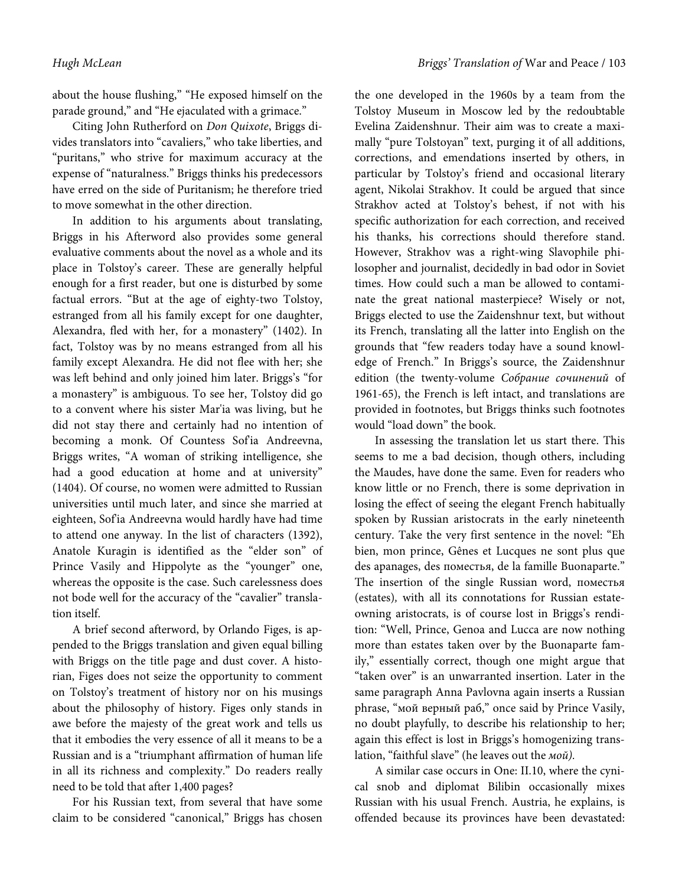about the house flushing," "He exposed himself on the parade ground," and "He ejaculated with a grimace."

Citing John Rutherford on Don Quixote, Briggs divides translators into "cavaliers," who take liberties, and "puritans," who strive for maximum accuracy at the expense of "naturalness." Briggs thinks his predecessors have erred on the side of Puritanism; he therefore tried to move somewhat in the other direction.

In addition to his arguments about translating, Briggs in his Afterword also provides some general evaluative comments about the novel as a whole and its place in Tolstoy's career. These are generally helpful enough for a first reader, but one is disturbed by some factual errors. "But at the age of eighty-two Tolstoy, estranged from all his family except for one daughter, Alexandra, fled with her, for a monastery" (1402). In fact, Tolstoy was by no means estranged from all his family except Alexandra. He did not flee with her; she was left behind and only joined him later. Briggs's "for a monastery" is ambiguous. To see her, Tolstoy did go to a convent where his sister Mar'ia was living, but he did not stay there and certainly had no intention of becoming a monk. Of Countess Sofia Andreevna, Briggs writes, "A woman of striking intelligence, she had a good education at home and at university" (1404). Of course, no women were admitted to Russian universities until much later, and since she married at eighteen, Sof'ia Andreevna would hardly have had time to attend one anyway. In the list of characters (1392), Anatole Kuragin is identified as the "elder son" of Prince Vasily and Hippolyte as the "younger" one, whereas the opposite is the case. Such carelessness does not bode well for the accuracy of the "cavalier" translation itself.

A brief second afterword, by Orlando Figes, is appended to the Briggs translation and given equal billing with Briggs on the title page and dust cover. A historian, Figes does not seize the opportunity to comment on Tolstoy's treatment of history nor on his musings about the philosophy of history. Figes only stands in awe before the majesty of the great work and tells us that it embodies the very essence of all it means to be a Russian and is a "triumphant affirmation of human life in all its richness and complexity." Do readers really need to be told that after 1,400 pages?

For his Russian text, from several that have some claim to be considered "canonical," Briggs has chosen

the one developed in the 1960s by a team from the Tolstoy Museum in Moscow led by the redoubtable Evelina Zaidenshnur. Their aim was to create a maximally "pure Tolstoyan" text, purging it of all additions, corrections, and emendations inserted by others, in particular by Tolstoy's friend and occasional literary agent, Nikolai Strakhov. It could be argued that since Strakhov acted at Tolstoy's behest, if not with his specific authorization for each correction, and received his thanks, his corrections should therefore stand. However, Strakhov was a right-wing Slavophile philosopher and journalist, decidedly in bad odor in Soviet times. How could such a man be allowed to contaminate the great national masterpiece? Wisely or not, Briggs elected to use the Zaidenshnur text, but without its French, translating all the latter into English on the grounds that "few readers today have a sound knowledge of French." In Briggs's source, the Zaidenshnur edition (the twenty-volume Собрание сочинений of 1961-65), the French is left intact, and translations are provided in footnotes, but Briggs thinks such footnotes would "load down" the book.

In assessing the translation let us start there. This seems to me a bad decision, though others, including the Maudes, have done the same. Even for readers who know little or no French, there is some deprivation in losing the effect of seeing the elegant French habitually spoken by Russian aristocrats in the early nineteenth century. Take the very first sentence in the novel: "Eh bien, mon prince, Gênes et Lucques ne sont plus que des apanages, des поместья, de la famille Buonaparte." The insertion of the single Russian word, поместья (estates), with all its connotations for Russian estateowning aristocrats, is of course lost in Briggs's rendition: "Well, Prince, Genoa and Lucca are now nothing more than estates taken over by the Buonaparte family," essentially correct, though one might argue that "taken over" is an unwarranted insertion. Later in the same paragraph Anna Pavlovna again inserts a Russian phrase, "мой верный раб," once said by Prince Vasily, no doubt playfully, to describe his relationship to her; again this effect is lost in Briggs's homogenizing translation, "faithful slave" (he leaves out the мой).

A similar case occurs in One: II.10, where the cynical snob and diplomat Bilibin occasionally mixes Russian with his usual French. Austria, he explains, is offended because its provinces have been devastated: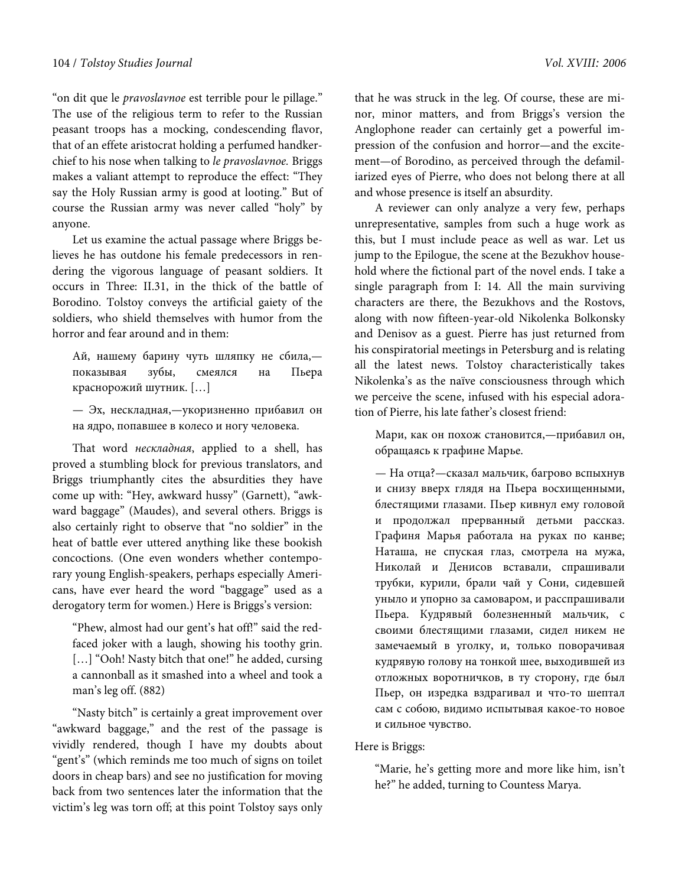"on dit que le pravoslavnoe est terrible pour le pillage." The use of the religious term to refer to the Russian peasant troops has a mocking, condescending flavor, that of an effete aristocrat holding a perfumed handkerchief to his nose when talking to le pravoslavnoe. Briggs makes a valiant attempt to reproduce the effect: "They say the Holy Russian army is good at looting." But of course the Russian army was never called "holy" by anyone.

Let us examine the actual passage where Briggs believes he has outdone his female predecessors in rendering the vigorous language of peasant soldiers. It occurs in Three: II.31, in the thick of the battle of Borodino. Tolstoy conveys the artificial gaiety of the soldiers, who shield themselves with humor from the horror and fear around and in them:

Ай, нашему барину чуть шляпку не сбила, показывая зубы, смеялся на Пьера краснорожий шутник. […]

— Эх, нескладная,—укоризненно прибавил он на ядро, попавшее в колесо и ногу человека.

That word нескладная, applied to a shell, has proved a stumbling block for previous translators, and Briggs triumphantly cites the absurdities they have come up with: "Hey, awkward hussy" (Garnett), "awkward baggage" (Maudes), and several others. Briggs is also certainly right to observe that "no soldier" in the heat of battle ever uttered anything like these bookish concoctions. (One even wonders whether contemporary young English-speakers, perhaps especially Americans, have ever heard the word "baggage" used as a derogatory term for women.) Here is Briggs's version:

"Phew, almost had our gent's hat off!" said the redfaced joker with a laugh, showing his toothy grin. [...] "Ooh! Nasty bitch that one!" he added, cursing a cannonball as it smashed into a wheel and took a man's leg off. (882)

"Nasty bitch" is certainly a great improvement over "awkward baggage," and the rest of the passage is vividly rendered, though I have my doubts about "gent's" (which reminds me too much of signs on toilet doors in cheap bars) and see no justification for moving back from two sentences later the information that the victim's leg was torn off; at this point Tolstoy says only that he was struck in the leg. Of course, these are minor, minor matters, and from Briggs's version the Anglophone reader can certainly get a powerful impression of the confusion and horror—and the excitement—of Borodino, as perceived through the defamiliarized eyes of Pierre, who does not belong there at all and whose presence is itself an absurdity.

A reviewer can only analyze a very few, perhaps unrepresentative, samples from such a huge work as this, but I must include peace as well as war. Let us jump to the Epilogue, the scene at the Bezukhov household where the fictional part of the novel ends. I take a single paragraph from I: 14. All the main surviving characters are there, the Bezukhovs and the Rostovs, along with now fifteen-year-old Nikolenka Bolkonsky and Denisov as a guest. Pierre has just returned from his conspiratorial meetings in Petersburg and is relating all the latest news. Tolstoy characteristically takes Nikolenka's as the naïve consciousness through which we perceive the scene, infused with his especial adoration of Pierre, his late father's closest friend:

Мари, как он похож становится,—прибавил он, обращаясь к графине Марье.

— На отца?—сказал мальчик, багрово вспыхнув и снизу вверх глядя на Пьера восхищенными, блестящими глазами. Пьер кивнул ему головой и продолжал прерванный детьми рассказ. Графиня Марья работала на руках по канве; Наташа, не спуская глаз, смотрела на мужа, Николай и Денисов вставали, спрашивали трубки, курили, брали чай у Сони, сидевшей уныло и упорно за самоваром, и расспрашивали Пьера. Кудрявый болезненный мальчик, с своими блестящими глазами, сидел никем не замечаемый в уголку, и, только поворачивая кудрявую голову на тонкой шее, выходившей из отложных воротничков, в ту сторону, где был Пьер, он изредка вздрагивал и что-то шептал сам с собою, видимо испытывая какое-то новое и сильное чувство.

Here is Briggs:

"Marie, he's getting more and more like him, isn't he?" he added, turning to Countess Marya.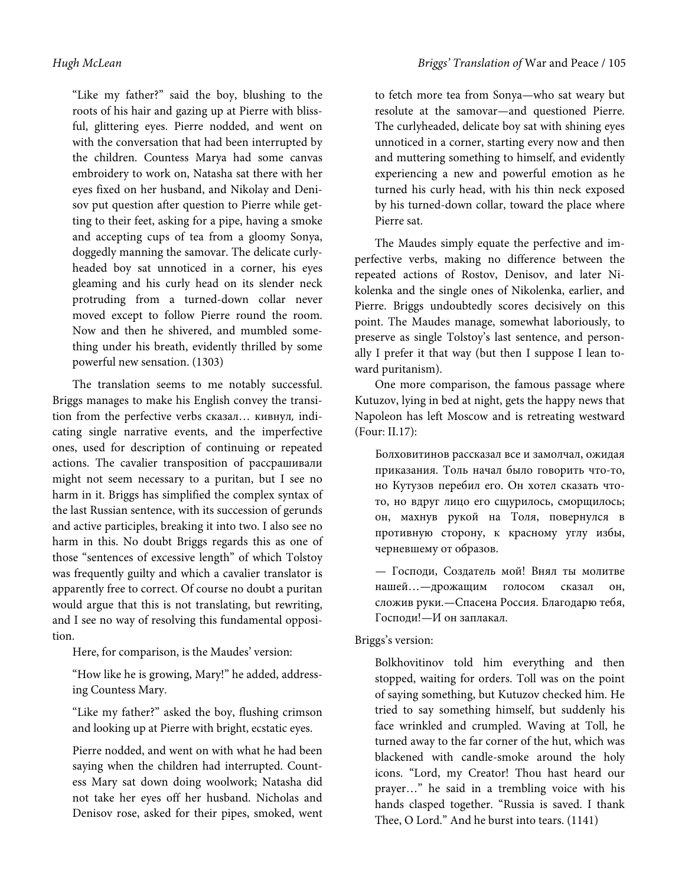"Like my father?" said the boy, blushing to the roots of his hair and gazing up at Pierre with blissful, glittering eyes. Pierre nodded, and went on with the conversation that had been interrupted by the children. Countess Marya had some canvas embroidery to work on, Natasha sat there with her eyes fixed on her husband, and Nikolay and Denisov put question after question to Pierre while getting to their feet, asking for a pipe, having a smoke and accepting cups of tea from a gloomy Sonya, doggedly manning the samovar. The delicate curlyheaded boy sat unnoticed in a corner, his eyes gleaming and his curly head on its slender neck protruding from a turned-down collar never moved except to follow Pierre round the room. Now and then he shivered, and mumbled something under his breath, evidently thrilled by some powerful new sensation. (1303)

The translation seems to me notably successful. Briggs manages to make his English convey the transition from the perfective verbs сказал… кивнул, indicating single narrative events, and the imperfective ones, used for description of continuing or repeated actions. The cavalier transposition of рассрашивали might not seem necessary to a puritan, but I see no harm in it. Briggs has simplified the complex syntax of the last Russian sentence, with its succession of gerunds and active participles, breaking it into two. I also see no harm in this. No doubt Briggs regards this as one of those "sentences of excessive length" of which Tolstoy was frequently guilty and which a cavalier translator is apparently free to correct. Of course no doubt a puritan would argue that this is not translating, but rewriting, and I see no way of resolving this fundamental opposition.

Here, for comparison, is the Maudes' version:

"How like he is growing, Mary!" he added, addressing Countess Mary.

"Like my father?" asked the boy, flushing crimson and looking up at Pierre with bright, ecstatic eyes.

Pierre nodded, and went on with what he had been saying when the children had interrupted. Countess Mary sat down doing woolwork; Natasha did not take her eyes off her husband. Nicholas and Denisov rose, asked for their pipes, smoked, went

to fetch more tea from Sonya—who sat weary but resolute at the samovar—and questioned Pierre. The curlyheaded, delicate boy sat with shining eyes unnoticed in a corner, starting every now and then and muttering something to himself, and evidently experiencing a new and powerful emotion as he turned his curly head, with his thin neck exposed by his turned-down collar, toward the place where Pierre sat.

The Maudes simply equate the perfective and imperfective verbs, making no difference between the repeated actions of Rostov, Denisov, and later Nikolenka and the single ones of Nikolenka, earlier, and Pierre. Briggs undoubtedly scores decisively on this point. The Maudes manage, somewhat laboriously, to preserve as single Tolstoy's last sentence, and personally I prefer it that way (but then I suppose I lean toward puritanism).

One more comparison, the famous passage where Kutuzov, lying in bed at night, gets the happy news that Napoleon has left Moscow and is retreating westward (Four: II.17):

Болховитинов рассказал все и замолчал, ожидая приказания. Толь начал было говорить что-то, но Кутузов перебил его. Он хотел сказать чтото, но вдруг лицо его сщурилось, сморщилось; он, махнув рукой на Толя, повернулся в противную сторону, к красному углу избы, черневшему от образов.

— Господи, Создатель мой! Внял ты молитве нашей…—дрожащим голосом сказал он, сложив руки.—Спасена Россия. Благодарю тебя, Господи!—И он заплакал.

### Briggs's version:

Bolkhovitinov told him everything and then stopped, waiting for orders. Toll was on the point of saying something, but Kutuzov checked him. He tried to say something himself, but suddenly his face wrinkled and crumpled. Waving at Toll, he turned away to the far corner of the hut, which was blackened with candle-smoke around the holy icons. "Lord, my Creator! Thou hast heard our prayer…" he said in a trembling voice with his hands clasped together. "Russia is saved. I thank Thee, O Lord." And he burst into tears. (1141)